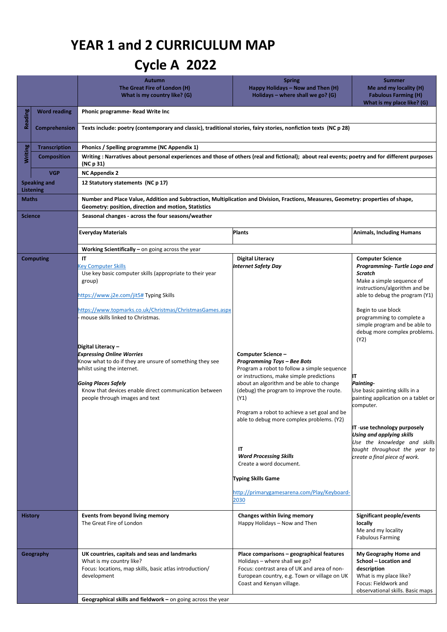## **YEAR 1 and 2 CURRICULUM MAP**

## **Cycle A 2022**

|                                         |                      | <b>Autumn</b><br>The Great Fire of London (H)<br>What is my country like? (G)                                                                                                                                                                                                                                                                                                                                                                                                                                            | <b>Spring</b><br>Happy Holidays - Now and Then (H)<br>Holidays – where shall we go? $(G)$                                                                                                                                                                                                                                                                                                                                                                                   | <b>Summer</b><br>Me and my locality (H)<br><b>Fabulous Farming (H)</b><br>What is my place like? (G)                                                                                                                                                                                                                                                                                                                                                                                                                                                                                |  |  |
|-----------------------------------------|----------------------|--------------------------------------------------------------------------------------------------------------------------------------------------------------------------------------------------------------------------------------------------------------------------------------------------------------------------------------------------------------------------------------------------------------------------------------------------------------------------------------------------------------------------|-----------------------------------------------------------------------------------------------------------------------------------------------------------------------------------------------------------------------------------------------------------------------------------------------------------------------------------------------------------------------------------------------------------------------------------------------------------------------------|-------------------------------------------------------------------------------------------------------------------------------------------------------------------------------------------------------------------------------------------------------------------------------------------------------------------------------------------------------------------------------------------------------------------------------------------------------------------------------------------------------------------------------------------------------------------------------------|--|--|
| Reading                                 | <b>Word reading</b>  | Phonic programme-Read Write Inc                                                                                                                                                                                                                                                                                                                                                                                                                                                                                          |                                                                                                                                                                                                                                                                                                                                                                                                                                                                             |                                                                                                                                                                                                                                                                                                                                                                                                                                                                                                                                                                                     |  |  |
|                                         | Comprehension        | Texts include: poetry (contemporary and classic), traditional stories, fairy stories, nonfiction texts (NC p 28)                                                                                                                                                                                                                                                                                                                                                                                                         |                                                                                                                                                                                                                                                                                                                                                                                                                                                                             |                                                                                                                                                                                                                                                                                                                                                                                                                                                                                                                                                                                     |  |  |
|                                         | <b>Transcription</b> | Phonics / Spelling programme (NC Appendix 1)                                                                                                                                                                                                                                                                                                                                                                                                                                                                             |                                                                                                                                                                                                                                                                                                                                                                                                                                                                             |                                                                                                                                                                                                                                                                                                                                                                                                                                                                                                                                                                                     |  |  |
| Writing                                 | <b>Composition</b>   | Writing: Narratives about personal experiences and those of others (real and fictional); about real events; poetry and for different purposes<br>(NC p 31)                                                                                                                                                                                                                                                                                                                                                               |                                                                                                                                                                                                                                                                                                                                                                                                                                                                             |                                                                                                                                                                                                                                                                                                                                                                                                                                                                                                                                                                                     |  |  |
|                                         | <b>VGP</b>           | <b>NC Appendix 2</b>                                                                                                                                                                                                                                                                                                                                                                                                                                                                                                     |                                                                                                                                                                                                                                                                                                                                                                                                                                                                             |                                                                                                                                                                                                                                                                                                                                                                                                                                                                                                                                                                                     |  |  |
| <b>Speaking and</b><br><b>Listening</b> |                      | 12 Statutory statements (NC p 17)                                                                                                                                                                                                                                                                                                                                                                                                                                                                                        |                                                                                                                                                                                                                                                                                                                                                                                                                                                                             |                                                                                                                                                                                                                                                                                                                                                                                                                                                                                                                                                                                     |  |  |
| <b>Maths</b>                            |                      | Number and Place Value, Addition and Subtraction, Multiplication and Division, Fractions, Measures, Geometry: properties of shape,<br>Geometry: position, direction and motion, Statistics                                                                                                                                                                                                                                                                                                                               |                                                                                                                                                                                                                                                                                                                                                                                                                                                                             |                                                                                                                                                                                                                                                                                                                                                                                                                                                                                                                                                                                     |  |  |
| <b>Science</b>                          |                      | Seasonal changes - across the four seasons/weather                                                                                                                                                                                                                                                                                                                                                                                                                                                                       |                                                                                                                                                                                                                                                                                                                                                                                                                                                                             |                                                                                                                                                                                                                                                                                                                                                                                                                                                                                                                                                                                     |  |  |
|                                         |                      | <b>Everyday Materials</b>                                                                                                                                                                                                                                                                                                                                                                                                                                                                                                | <b>Plants</b>                                                                                                                                                                                                                                                                                                                                                                                                                                                               | <b>Animals, Including Humans</b>                                                                                                                                                                                                                                                                                                                                                                                                                                                                                                                                                    |  |  |
|                                         |                      | <b>Working Scientifically</b> – on going across the year                                                                                                                                                                                                                                                                                                                                                                                                                                                                 |                                                                                                                                                                                                                                                                                                                                                                                                                                                                             |                                                                                                                                                                                                                                                                                                                                                                                                                                                                                                                                                                                     |  |  |
|                                         | <b>Computing</b>     | IT<br><b>Key Computer Skills</b><br>Use key basic computer skills (appropriate to their year<br>group)<br>https://www.j2e.com/jit5# Typing Skills<br>https://www.topmarks.co.uk/Christmas/ChristmasGames.aspx<br>mouse skills linked to Christmas.<br>Digital Literacy –<br><b>Expressing Online Worries</b><br>Know what to do if they are unsure of something they see<br>whilst using the internet.<br>Going Places Safely<br>Know that devices enable direct communication between<br>people through images and text | <b>Digital Literacy</b><br><b>Internet Safety Day</b><br>Computer Science-<br><b>Programming Toys - Bee Bots</b><br>Program a robot to follow a simple sequence<br>or instructions, make simple predictions<br>about an algorithm and be able to change<br>(debug) the program to improve the route.<br>(Y1)<br>Program a robot to achieve a set goal and be<br>able to debug more complex problems. (Y2)<br>IT<br><b>Word Processing Skills</b><br>Create a word document. | <b>Computer Science</b><br>Programming- Turtle Logo and<br><b>Scratch</b><br>Make a simple sequence of<br>instructions/algorithm and be<br>able to debug the program (Y1)<br>Begin to use block<br>programming to complete a<br>simple program and be able to<br>debug more complex problems.<br>(Y2)<br>IΤ<br>Painting-<br>Use basic painting skills in a<br>painting application on a tablet or<br>computer.<br>IT-use technology purposely<br><b>Using and applying skills</b><br>Use the knowledge and skills<br>taught throughout the year to<br>create a final piece of work. |  |  |
|                                         | <b>History</b>       | Events from beyond living memory<br>The Great Fire of London                                                                                                                                                                                                                                                                                                                                                                                                                                                             | <b>Typing Skills Game</b><br>http://primarygamesarena.com/Play/Keyboard-<br>2030<br>Changes within living memory<br>Happy Holidays - Now and Then                                                                                                                                                                                                                                                                                                                           | <b>Significant people/events</b><br>locally                                                                                                                                                                                                                                                                                                                                                                                                                                                                                                                                         |  |  |
|                                         |                      |                                                                                                                                                                                                                                                                                                                                                                                                                                                                                                                          |                                                                                                                                                                                                                                                                                                                                                                                                                                                                             | Me and my locality<br><b>Fabulous Farming</b>                                                                                                                                                                                                                                                                                                                                                                                                                                                                                                                                       |  |  |
|                                         | Geography            | UK countries, capitals and seas and landmarks<br>What is my country like?<br>Focus: locations, map skills, basic atlas introduction/<br>development                                                                                                                                                                                                                                                                                                                                                                      | Place comparisons - geographical features<br>Holidays - where shall we go?<br>Focus: contrast area of UK and area of non-<br>European country, e.g. Town or village on UK<br>Coast and Kenyan village.                                                                                                                                                                                                                                                                      | My Geography Home and<br>School - Location and<br>description<br>What is my place like?<br>Focus: Fieldwork and<br>observational skills. Basic maps                                                                                                                                                                                                                                                                                                                                                                                                                                 |  |  |
|                                         |                      | Geographical skills and fieldwork - on going across the year                                                                                                                                                                                                                                                                                                                                                                                                                                                             |                                                                                                                                                                                                                                                                                                                                                                                                                                                                             |                                                                                                                                                                                                                                                                                                                                                                                                                                                                                                                                                                                     |  |  |